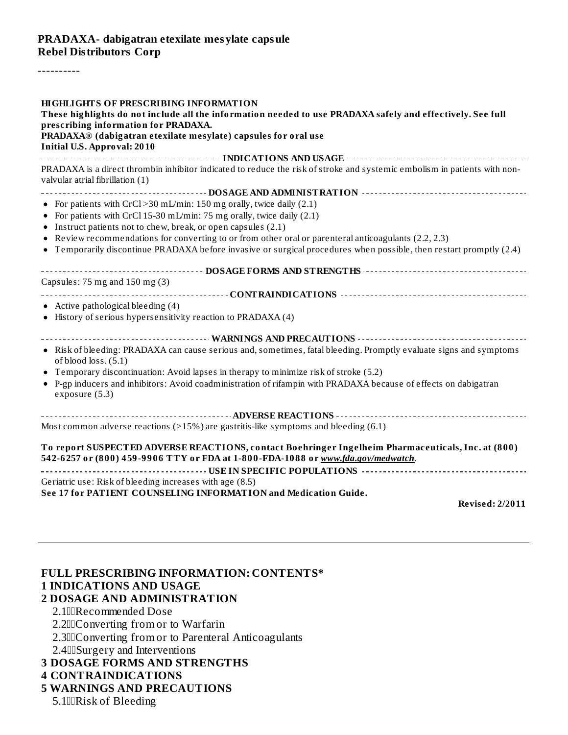#### **PRADAXA- dabigatran etexilate mesylate capsule Rebel Distributors Corp**

----------

# **FULL PRESCRIBING INFORMATION: CONTENTS\* 1 INDICATIONS AND USAGE**

## **2 DOSAGE AND ADMINISTRATION**

2.1IIIRecommended Dose

2.200 Converting from or to Warfarin

2.300 Converting from or to Parenteral Anticoagulants

2.4 $\Box$ Surgery and Interventions

- **3 DOSAGE FORMS AND STRENGTHS**
- **4 CONTRAINDICATIONS**
- **5 WARNINGS AND PRECAUTIONS**
	- 5.1IIRisk of Bleeding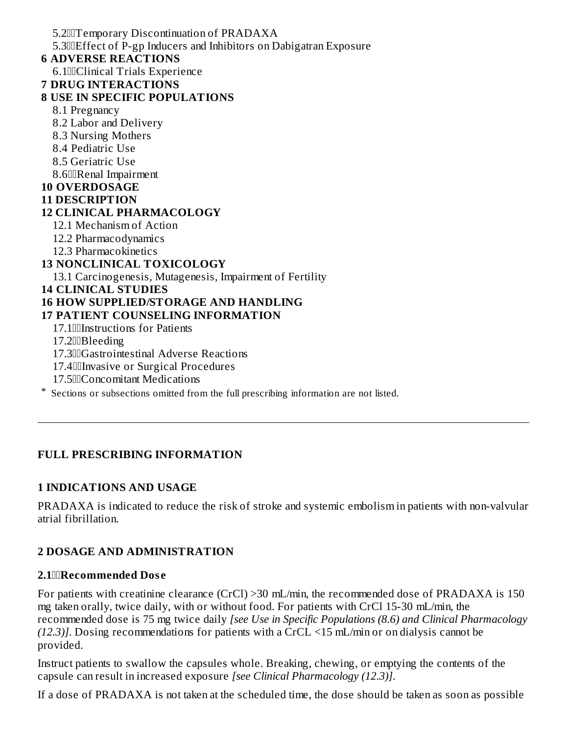5.2Temporary Discontinuation of PRADAXA 5.3Effect of P-gp Inducers and Inhibitors on Dabigatran Exposure **6 ADVERSE REACTIONS** 6.1Clinical Trials Experience **7 DRUG INTERACTIONS 8 USE IN SPECIFIC POPULATIONS** 8.1 Pregnancy 8.2 Labor and Delivery 8.3 Nursing Mothers 8.4 Pediatric Use 8.5 Geriatric Use 8.6IIRenal Impairment **10 OVERDOSAGE 11 DESCRIPTION 12 CLINICAL PHARMACOLOGY** 12.1 Mechanism of Action 12.2 Pharmacodynamics 12.3 Pharmacokinetics **13 NONCLINICAL TOXICOLOGY** 13.1 Carcinogenesis, Mutagenesis, Impairment of Fertility **14 CLINICAL STUDIES 16 HOW SUPPLIED/STORAGE AND HANDLING 17 PATIENT COUNSELING INFORMATION** 17.1Instructions for Patients 17.2Bleeding 17.3Gastrointestinal Adverse Reactions 17.4IIIInvasive or Surgical Procedures 17.500 Concomitant Medications

\* Sections or subsections omitted from the full prescribing information are not listed.

### **FULL PRESCRIBING INFORMATION**

#### **1 INDICATIONS AND USAGE**

PRADAXA is indicated to reduce the risk of stroke and systemic embolism in patients with non-valvular atrial fibrillation.

#### **2 DOSAGE AND ADMINISTRATION**

#### **2.1Recommended Dos e**

For patients with creatinine clearance (CrCl) >30 mL/min, the recommended dose of PRADAXA is 150 mg taken orally, twice daily, with or without food. For patients with CrCl 15-30 mL/min, the recommended dose is 75 mg twice daily *[see Use in Specific Populations (8.6) and Clinical Pharmacology (12.3)]*. Dosing recommendations for patients with a CrCL <15 mL/min or on dialysis cannot be provided.

Instruct patients to swallow the capsules whole. Breaking, chewing, or emptying the contents of the capsule can result in increased exposure *[see Clinical Pharmacology (12.3)]*.

If a dose of PRADAXA is not taken at the scheduled time, the dose should be taken as soon as possible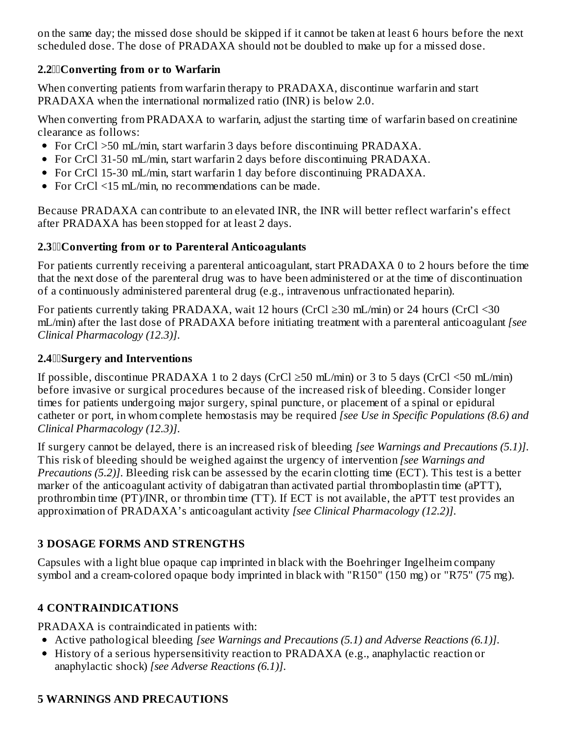on the same day; the missed dose should be skipped if it cannot be taken at least 6 hours before the next scheduled dose. The dose of PRADAXA should not be doubled to make up for a missed dose.

#### **2.2Converting from or to Warfarin**

When converting patients from warfarin therapy to PRADAXA, discontinue warfarin and start PRADAXA when the international normalized ratio (INR) is below 2.0.

When converting from PRADAXA to warfarin, adjust the starting time of warfarin based on creatinine clearance as follows:

- For CrCl > 50 mL/min, start warfarin 3 days before discontinuing PRADAXA.
- For CrCl 31-50 mL/min, start warfarin 2 days before discontinuing PRADAXA.
- For CrCl 15-30 mL/min, start warfarin 1 day before discontinuing PRADAXA.
- For CrCl <15 mL/min, no recommendations can be made.

Because PRADAXA can contribute to an elevated INR, the INR will better reflect warfarin's effect after PRADAXA has been stopped for at least 2 days.

#### **2.3Converting from or to Parenteral Anticoagulants**

For patients currently receiving a parenteral anticoagulant, start PRADAXA 0 to 2 hours before the time that the next dose of the parenteral drug was to have been administered or at the time of discontinuation of a continuously administered parenteral drug (e.g., intravenous unfractionated heparin).

For patients currently taking PRADAXA, wait 12 hours (CrCl ≥30 mL/min) or 24 hours (CrCl <30 mL/min) after the last dose of PRADAXA before initiating treatment with a parenteral anticoagulant *[see Clinical Pharmacology (12.3)]*.

#### **2.4Surgery and Interventions**

If possible, discontinue PRADAXA 1 to 2 days (CrCl  $\geq$ 50 mL/min) or 3 to 5 days (CrCl <50 mL/min) before invasive or surgical procedures because of the increased risk of bleeding. Consider longer times for patients undergoing major surgery, spinal puncture, or placement of a spinal or epidural catheter or port, in whom complete hemostasis may be required *[see Use in Specific Populations (8.6) and Clinical Pharmacology (12.3)]*.

If surgery cannot be delayed, there is an increased risk of bleeding *[see Warnings and Precautions (5.1)]*. This risk of bleeding should be weighed against the urgency of intervention *[see Warnings and Precautions (5.2)]*. Bleeding risk can be assessed by the ecarin clotting time (ECT). This test is a better marker of the anticoagulant activity of dabigatran than activated partial thromboplastin time (aPTT), prothrombin time (PT)/INR, or thrombin time (TT). If ECT is not available, the aPTT test provides an approximation of PRADAXA's anticoagulant activity *[see Clinical Pharmacology (12.2)]*.

## **3 DOSAGE FORMS AND STRENGTHS**

Capsules with a light blue opaque cap imprinted in black with the Boehringer Ingelheim company symbol and a cream-colored opaque body imprinted in black with "R150" (150 mg) or "R75" (75 mg).

### **4 CONTRAINDICATIONS**

PRADAXA is contraindicated in patients with:

- Active pathological bleeding *[see Warnings and Precautions (5.1) and Adverse Reactions (6.1)]*.
- History of a serious hypersensitivity reaction to PRADAXA (e.g., anaphylactic reaction or anaphylactic shock) *[see Adverse Reactions (6.1)]*.

### **5 WARNINGS AND PRECAUTIONS**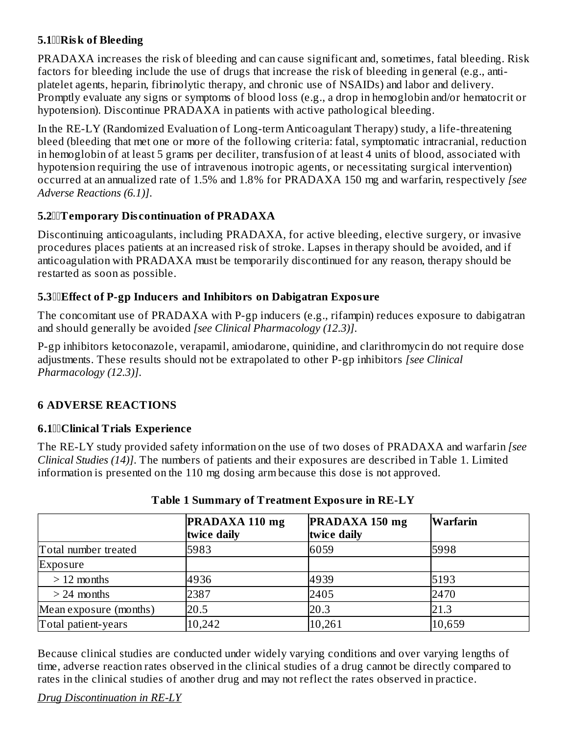#### **5.1Risk of Bleeding**

PRADAXA increases the risk of bleeding and can cause significant and, sometimes, fatal bleeding. Risk factors for bleeding include the use of drugs that increase the risk of bleeding in general (e.g., antiplatelet agents, heparin, fibrinolytic therapy, and chronic use of NSAIDs) and labor and delivery. Promptly evaluate any signs or symptoms of blood loss (e.g., a drop in hemoglobin and/or hematocrit or hypotension). Discontinue PRADAXA in patients with active pathological bleeding.

In the RE-LY (Randomized Evaluation of Long-term Anticoagulant Therapy) study, a life-threatening bleed (bleeding that met one or more of the following criteria: fatal, symptomatic intracranial, reduction in hemoglobin of at least 5 grams per deciliter, transfusion of at least 4 units of blood, associated with hypotension requiring the use of intravenous inotropic agents, or necessitating surgical intervention) occurred at an annualized rate of 1.5% and 1.8% for PRADAXA 150 mg and warfarin, respectively *[see Adverse Reactions (6.1)]*.

#### **5.2Temporary Dis continuation of PRADAXA**

Discontinuing anticoagulants, including PRADAXA, for active bleeding, elective surgery, or invasive procedures places patients at an increased risk of stroke. Lapses in therapy should be avoided, and if anticoagulation with PRADAXA must be temporarily discontinued for any reason, therapy should be restarted as soon as possible.

#### **5.3Effect of P-gp Inducers and Inhibitors on Dabigatran Exposure**

The concomitant use of PRADAXA with P-gp inducers (e.g., rifampin) reduces exposure to dabigatran and should generally be avoided *[see Clinical Pharmacology (12.3)]*.

P-gp inhibitors ketoconazole, verapamil, amiodarone, quinidine, and clarithromycin do not require dose adjustments. These results should not be extrapolated to other P-gp inhibitors *[see Clinical Pharmacology (12.3)]*.

### **6 ADVERSE REACTIONS**

#### **6.1Clinical Trials Experience**

The RE-LY study provided safety information on the use of two doses of PRADAXA and warfarin *[see Clinical Studies (14)]*. The numbers of patients and their exposures are described in Table 1. Limited information is presented on the 110 mg dosing arm because this dose is not approved.

|                        | PRADAXA 110 mg<br>twice daily | PRADAXA 150 mg<br>twice daily | Warfarin |
|------------------------|-------------------------------|-------------------------------|----------|
| Total number treated   | 5983                          | 6059                          | 5998     |
| Exposure               |                               |                               |          |
| $>12$ months           | 4936                          | 4939                          | 5193     |
| $> 24$ months          | 2387                          | 2405                          | 2470     |
| Mean exposure (months) | 20.5                          | 20.3                          | 21.3     |
| Total patient-years    | 10,242                        | 10,261                        | 10,659   |

### **Table 1 Summary of Treatment Exposure in RE-LY**

Because clinical studies are conducted under widely varying conditions and over varying lengths of time, adverse reaction rates observed in the clinical studies of a drug cannot be directly compared to rates in the clinical studies of another drug and may not reflect the rates observed in practice.

#### *Drug Discontinuation in RE-LY*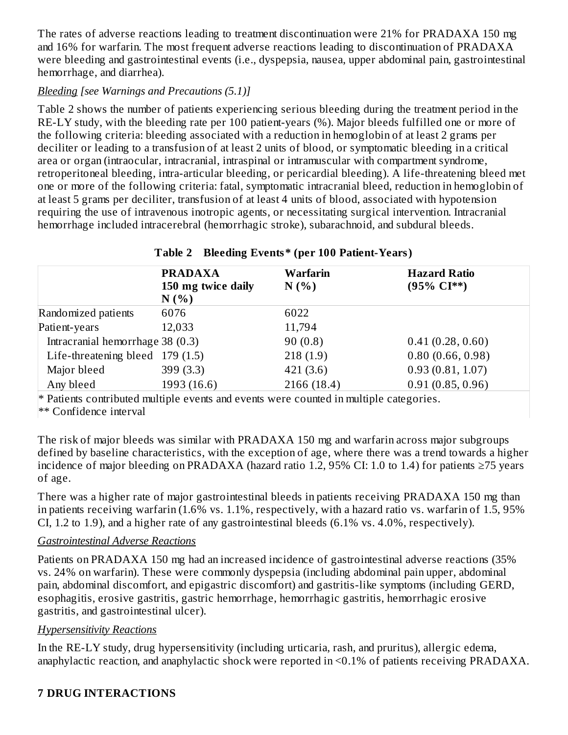The rates of adverse reactions leading to treatment discontinuation were 21% for PRADAXA 150 mg and 16% for warfarin. The most frequent adverse reactions leading to discontinuation of PRADAXA were bleeding and gastrointestinal events (i.e., dyspepsia, nausea, upper abdominal pain, gastrointestinal hemorrhage, and diarrhea).

### *Bleeding [see Warnings and Precautions (5.1)]*

Table 2 shows the number of patients experiencing serious bleeding during the treatment period in the RE-LY study, with the bleeding rate per 100 patient-years (%). Major bleeds fulfilled one or more of the following criteria: bleeding associated with a reduction in hemoglobin of at least 2 grams per deciliter or leading to a transfusion of at least 2 units of blood, or symptomatic bleeding in a critical area or organ (intraocular, intracranial, intraspinal or intramuscular with compartment syndrome, retroperitoneal bleeding, intra-articular bleeding, or pericardial bleeding). A life-threatening bleed met one or more of the following criteria: fatal, symptomatic intracranial bleed, reduction in hemoglobin of at least 5 grams per deciliter, transfusion of at least 4 units of blood, associated with hypotension requiring the use of intravenous inotropic agents, or necessitating surgical intervention. Intracranial hemorrhage included intracerebral (hemorrhagic stroke), subarachnoid, and subdural bleeds.

|                                   | <b>PRADAXA</b>     | Warfarin    | <b>Hazard Ratio</b>      |
|-----------------------------------|--------------------|-------------|--------------------------|
|                                   | 150 mg twice daily | N(% )       | $(95\% \text{ CI}^{**})$ |
|                                   | N(%                |             |                          |
| Randomized patients               | 6076               | 6022        |                          |
| Patient-years                     | 12,033             | 11,794      |                          |
| Intracranial hemorrhage 38 (0.3)  |                    | 90(0.8)     | 0.41(0.28, 0.60)         |
| Life-threatening bleed $179(1.5)$ |                    | 218(1.9)    | 0.80(0.66, 0.98)         |
| Major bleed                       | 399(3.3)           | 421(3.6)    | 0.93(0.81, 1.07)         |
| Any bleed                         | 1993 (16.6)        | 2166 (18.4) | 0.91(0.85, 0.96)         |

#### **Table 2 Bleeding Events\* (per 100 Patient-Years)**

\* Patients contributed multiple events and events were counted in multiple categories.

\*\* Confidence interval

The risk of major bleeds was similar with PRADAXA 150 mg and warfarin across major subgroups defined by baseline characteristics, with the exception of age, where there was a trend towards a higher incidence of major bleeding on PRADAXA (hazard ratio 1.2, 95% CI: 1.0 to 1.4) for patients ≥75 years of age.

There was a higher rate of major gastrointestinal bleeds in patients receiving PRADAXA 150 mg than in patients receiving warfarin (1.6% vs. 1.1%, respectively, with a hazard ratio vs. warfarin of 1.5, 95% CI, 1.2 to 1.9), and a higher rate of any gastrointestinal bleeds (6.1% vs. 4.0%, respectively).

#### *Gastrointestinal Adverse Reactions*

Patients on PRADAXA 150 mg had an increased incidence of gastrointestinal adverse reactions (35% vs. 24% on warfarin). These were commonly dyspepsia (including abdominal pain upper, abdominal pain, abdominal discomfort, and epigastric discomfort) and gastritis-like symptoms (including GERD, esophagitis, erosive gastritis, gastric hemorrhage, hemorrhagic gastritis, hemorrhagic erosive gastritis, and gastrointestinal ulcer).

### *Hypersensitivity Reactions*

In the RE-LY study, drug hypersensitivity (including urticaria, rash, and pruritus), allergic edema, anaphylactic reaction, and anaphylactic shock were reported in <0.1% of patients receiving PRADAXA.

### **7 DRUG INTERACTIONS**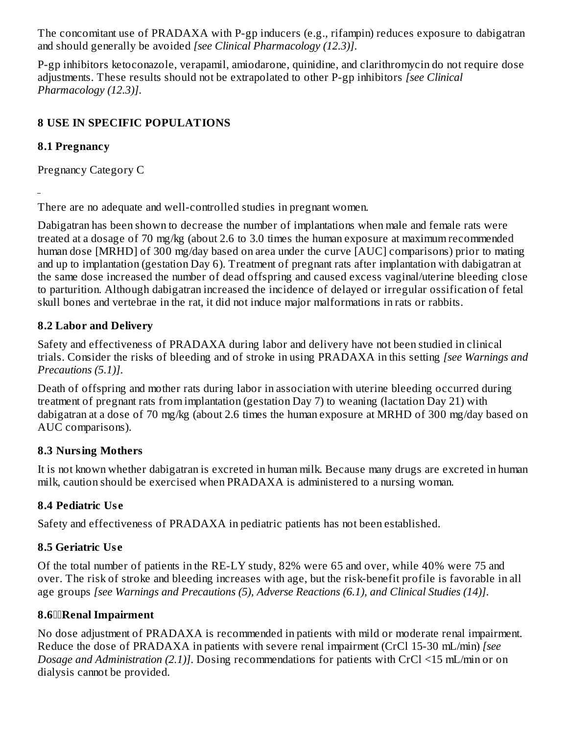The concomitant use of PRADAXA with P-gp inducers (e.g., rifampin) reduces exposure to dabigatran and should generally be avoided *[see Clinical Pharmacology (12.3)]*.

P-gp inhibitors ketoconazole, verapamil, amiodarone, quinidine, and clarithromycin do not require dose adjustments. These results should not be extrapolated to other P-gp inhibitors *[see Clinical Pharmacology (12.3)]*.

## **8 USE IN SPECIFIC POPULATIONS**

### **8.1 Pregnancy**

Pregnancy Category C

There are no adequate and well-controlled studies in pregnant women.

Dabigatran has been shown to decrease the number of implantations when male and female rats were treated at a dosage of 70 mg/kg (about 2.6 to 3.0 times the human exposure at maximum recommended human dose [MRHD] of 300 mg/day based on area under the curve [AUC] comparisons) prior to mating and up to implantation (gestation Day 6). Treatment of pregnant rats after implantation with dabigatran at the same dose increased the number of dead offspring and caused excess vaginal/uterine bleeding close to parturition. Although dabigatran increased the incidence of delayed or irregular ossification of fetal skull bones and vertebrae in the rat, it did not induce major malformations in rats or rabbits.

## **8.2 Labor and Delivery**

Safety and effectiveness of PRADAXA during labor and delivery have not been studied in clinical trials. Consider the risks of bleeding and of stroke in using PRADAXA in this setting *[see Warnings and Precautions (5.1)]*.

Death of offspring and mother rats during labor in association with uterine bleeding occurred during treatment of pregnant rats from implantation (gestation Day 7) to weaning (lactation Day 21) with dabigatran at a dose of 70 mg/kg (about 2.6 times the human exposure at MRHD of 300 mg/day based on AUC comparisons).

### **8.3 Nursing Mothers**

It is not known whether dabigatran is excreted in human milk. Because many drugs are excreted in human milk, caution should be exercised when PRADAXA is administered to a nursing woman.

## **8.4 Pediatric Us e**

Safety and effectiveness of PRADAXA in pediatric patients has not been established.

## **8.5 Geriatric Us e**

Of the total number of patients in the RE-LY study, 82% were 65 and over, while 40% were 75 and over. The risk of stroke and bleeding increases with age, but the risk-benefit profile is favorable in all age groups *[see Warnings and Precautions (5), Adverse Reactions (6.1), and Clinical Studies (14)]*.

### **8.6Renal Impairment**

No dose adjustment of PRADAXA is recommended in patients with mild or moderate renal impairment. Reduce the dose of PRADAXA in patients with severe renal impairment (CrCl 15-30 mL/min) *[see Dosage and Administration (2.1)]*. Dosing recommendations for patients with CrCl <15 mL/min or on dialysis cannot be provided.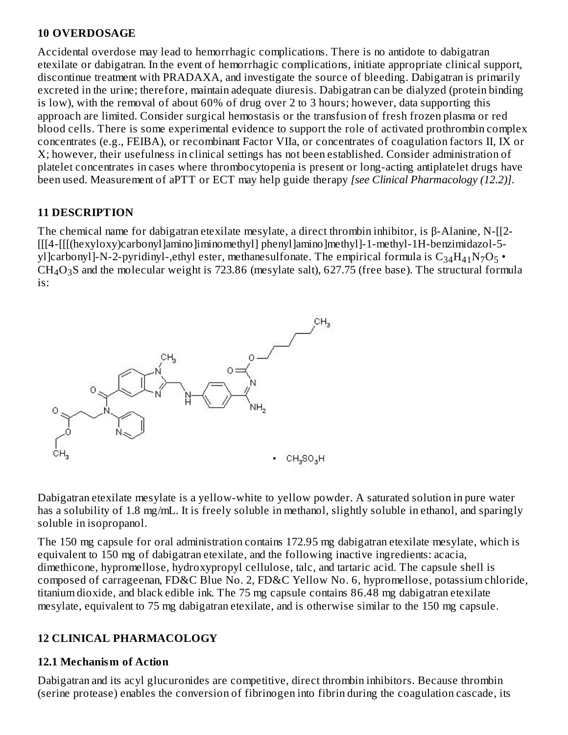#### **10 OVERDOSAGE**

Accidental overdose may lead to hemorrhagic complications. There is no antidote to dabigatran etexilate or dabigatran. In the event of hemorrhagic complications, initiate appropriate clinical support, discontinue treatment with PRADAXA, and investigate the source of bleeding. Dabigatran is primarily excreted in the urine; therefore, maintain adequate diuresis. Dabigatran can be dialyzed (protein binding is low), with the removal of about 60% of drug over 2 to 3 hours; however, data supporting this approach are limited. Consider surgical hemostasis or the transfusion of fresh frozen plasma or red blood cells. There is some experimental evidence to support the role of activated prothrombin complex concentrates (e.g., FEIBA), or recombinant Factor VIIa, or concentrates of coagulation factors II, IX or X; however, their usefulness in clinical settings has not been established. Consider administration of platelet concentrates in cases where thrombocytopenia is present or long-acting antiplatelet drugs have been used. Measurement of aPTT or ECT may help guide therapy *[see Clinical Pharmacology (12.2)]*.

#### **11 DESCRIPTION**

The chemical name for dabigatran etexilate mesylate, a direct thrombin inhibitor, is β-Alanine, N-[[2- [[[4-[[[(hexyloxy)carbonyl]amino]iminomethyl] phenyl]amino]methyl]-1-methyl-1H-benzimidazol-5 yl]carbonyl]-N-2-pyridinyl-,ethyl ester, methanesulfonate. The empirical formula is  $\rm{C_{34}H_{41}N_7O_5}$  •  $CH_4O_3S$  and the molecular weight is 723.86 (mesylate salt), 627.75 (free base). The structural formula is:



Dabigatran etexilate mesylate is a yellow-white to yellow powder. A saturated solution in pure water has a solubility of 1.8 mg/mL. It is freely soluble in methanol, slightly soluble in ethanol, and sparingly soluble in isopropanol.

The 150 mg capsule for oral administration contains 172.95 mg dabigatran etexilate mesylate, which is equivalent to 150 mg of dabigatran etexilate, and the following inactive ingredients: acacia, dimethicone, hypromellose, hydroxypropyl cellulose, talc, and tartaric acid. The capsule shell is composed of carrageenan, FD&C Blue No. 2, FD&C Yellow No. 6, hypromellose, potassium chloride, titanium dioxide, and black edible ink. The 75 mg capsule contains 86.48 mg dabigatran etexilate mesylate, equivalent to 75 mg dabigatran etexilate, and is otherwise similar to the 150 mg capsule.

#### **12 CLINICAL PHARMACOLOGY**

#### **12.1 Mechanism of Action**

Dabigatran and its acyl glucuronides are competitive, direct thrombin inhibitors. Because thrombin (serine protease) enables the conversion of fibrinogen into fibrin during the coagulation cascade, its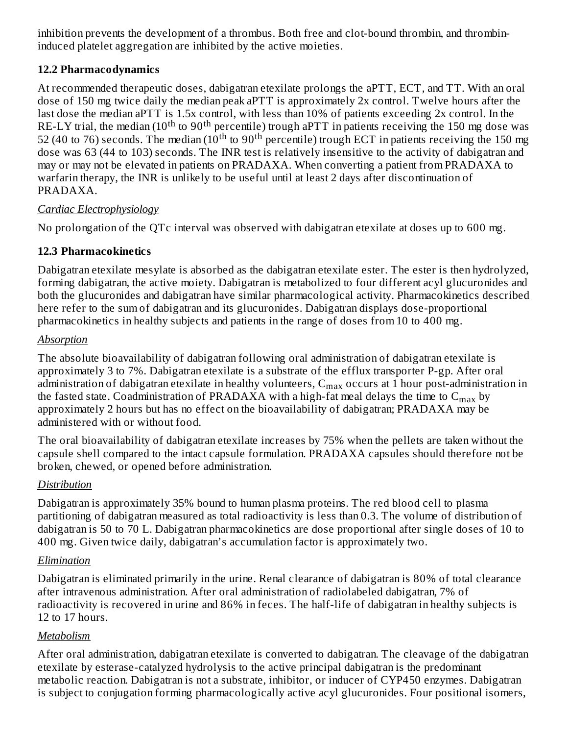inhibition prevents the development of a thrombus. Both free and clot-bound thrombin, and thrombininduced platelet aggregation are inhibited by the active moieties.

### **12.2 Pharmacodynamics**

At recommended therapeutic doses, dabigatran etexilate prolongs the aPTT, ECT, and TT. With an oral dose of 150 mg twice daily the median peak aPTT is approximately 2x control. Twelve hours after the last dose the median aPTT is 1.5x control, with less than 10% of patients exceeding 2x control. In the RE-LY trial, the median (10<sup>th</sup> to 90<sup>th</sup> percentile) trough aPTT in patients receiving the 150 mg dose was 52 (40 to 76) seconds. The median ( $10^{\text{th}}$  to  $90^{\text{th}}$  percentile) trough ECT in patients receiving the 150 mg dose was 63 (44 to 103) seconds. The INR test is relatively insensitive to the activity of dabigatran and may or may not be elevated in patients on PRADAXA. When converting a patient from PRADAXA to warfarin therapy, the INR is unlikely to be useful until at least 2 days after discontinuation of PRADAXA.

## *Cardiac Electrophysiology*

No prolongation of the QTc interval was observed with dabigatran etexilate at doses up to 600 mg.

## **12.3 Pharmacokinetics**

Dabigatran etexilate mesylate is absorbed as the dabigatran etexilate ester. The ester is then hydrolyzed, forming dabigatran, the active moiety. Dabigatran is metabolized to four different acyl glucuronides and both the glucuronides and dabigatran have similar pharmacological activity. Pharmacokinetics described here refer to the sum of dabigatran and its glucuronides. Dabigatran displays dose-proportional pharmacokinetics in healthy subjects and patients in the range of doses from 10 to 400 mg.

### *Absorption*

The absolute bioavailability of dabigatran following oral administration of dabigatran etexilate is approximately 3 to 7%. Dabigatran etexilate is a substrate of the efflux transporter P-gp. After oral administration of dabigatran etexilate in healthy volunteers,  $\mathsf{C}_{\max}$  occurs at 1 hour post-administration in the fasted state. Coadministration of PRADAXA with a high-fat meal delays the time to  $\mathsf{C}_{\max}$  by approximately 2 hours but has no effect on the bioavailability of dabigatran; PRADAXA may be administered with or without food.

The oral bioavailability of dabigatran etexilate increases by 75% when the pellets are taken without the capsule shell compared to the intact capsule formulation. PRADAXA capsules should therefore not be broken, chewed, or opened before administration.

## *Distribution*

Dabigatran is approximately 35% bound to human plasma proteins. The red blood cell to plasma partitioning of dabigatran measured as total radioactivity is less than 0.3. The volume of distribution of dabigatran is 50 to 70 L. Dabigatran pharmacokinetics are dose proportional after single doses of 10 to 400 mg. Given twice daily, dabigatran's accumulation factor is approximately two.

## *Elimination*

Dabigatran is eliminated primarily in the urine. Renal clearance of dabigatran is 80% of total clearance after intravenous administration. After oral administration of radiolabeled dabigatran, 7% of radioactivity is recovered in urine and 86% in feces. The half-life of dabigatran in healthy subjects is 12 to 17 hours.

## *Metabolism*

After oral administration, dabigatran etexilate is converted to dabigatran. The cleavage of the dabigatran etexilate by esterase-catalyzed hydrolysis to the active principal dabigatran is the predominant metabolic reaction. Dabigatran is not a substrate, inhibitor, or inducer of CYP450 enzymes. Dabigatran is subject to conjugation forming pharmacologically active acyl glucuronides. Four positional isomers,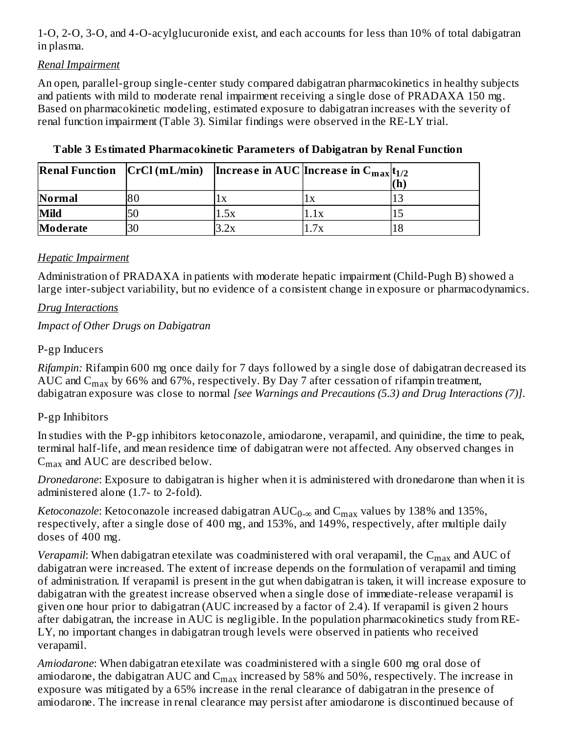1-O, 2-O, 3-O, and 4-O-acylglucuronide exist, and each accounts for less than 10% of total dabigatran in plasma.

#### *Renal Impairment*

An open, parallel-group single-center study compared dabigatran pharmacokinetics in healthy subjects and patients with mild to moderate renal impairment receiving a single dose of PRADAXA 150 mg. Based on pharmacokinetic modeling, estimated exposure to dabigatran increases with the severity of renal function impairment (Table 3). Similar findings were observed in the RE-LY trial.

|                 |    |     | <b>Renal Function</b> $ CrCl(mL/min) $ Increase in AUC Increase in $C_{max} t_{1/2} $ |    |
|-----------------|----|-----|---------------------------------------------------------------------------------------|----|
|                 |    |     |                                                                                       |    |
| <b>Normal</b>   | 80 |     | ÏХ                                                                                    |    |
| Mild            |    | .5х | 1.1x                                                                                  |    |
| <b>Moderate</b> |    | 2x  | 7v                                                                                    | 18 |

#### **Table 3 Estimated Pharmacokinetic Parameters of Dabigatran by Renal Function**

#### *Hepatic Impairment*

Administration of PRADAXA in patients with moderate hepatic impairment (Child-Pugh B) showed a large inter-subject variability, but no evidence of a consistent change in exposure or pharmacodynamics.

#### *Drug Interactions*

#### *Impact of Other Drugs on Dabigatran*

#### P-gp Inducers

*Rifampin:* Rifampin 600 mg once daily for 7 days followed by a single dose of dabigatran decreased its AUC and  $\rm{C_{max}}$  by 66% and 67%, respectively. By Day 7 after cessation of rifampin treatment, dabigatran exposure was close to normal *[see Warnings and Precautions (5.3) and Drug Interactions (7)]*.

### P-gp Inhibitors

In studies with the P-gp inhibitors ketoconazole, amiodarone, verapamil, and quinidine, the time to peak, terminal half-life, and mean residence time of dabigatran were not affected. Any observed changes in  $\rm{C_{max}}$  and  $\rm{AUC}$  are described below.

*Dronedarone*: Exposure to dabigatran is higher when it is administered with dronedarone than when it is administered alone (1.7- to 2-fold).

*Ketoconazole*: Ketoconazole increased dabigatran  $\mathrm{AUC_{0-\infty}}$  and  $\mathrm{C_{max}}$  values by 138% and 135%, respectively, after a single dose of 400 mg, and 153%, and 149%, respectively, after multiple daily doses of 400 mg.

*Verapamil*: When dabigatran etexilate was coadministered with oral verapamil, the  $\mathsf{C}_{\max}$  and  $\mathrm{AUC}$  of dabigatran were increased. The extent of increase depends on the formulation of verapamil and timing of administration. If verapamil is present in the gut when dabigatran is taken, it will increase exposure to dabigatran with the greatest increase observed when a single dose of immediate-release verapamil is given one hour prior to dabigatran (AUC increased by a factor of 2.4). If verapamil is given 2 hours after dabigatran, the increase in AUC is negligible. In the population pharmacokinetics study from RE-LY, no important changes in dabigatran trough levels were observed in patients who received verapamil.

*Amiodarone*: When dabigatran etexilate was coadministered with a single 600 mg oral dose of amiodarone, the dabigatran AUC and  $\rm C_{max}$  increased by 58% and 50%, respectively. The increase in exposure was mitigated by a 65% increase in the renal clearance of dabigatran in the presence of amiodarone. The increase in renal clearance may persist after amiodarone is discontinued because of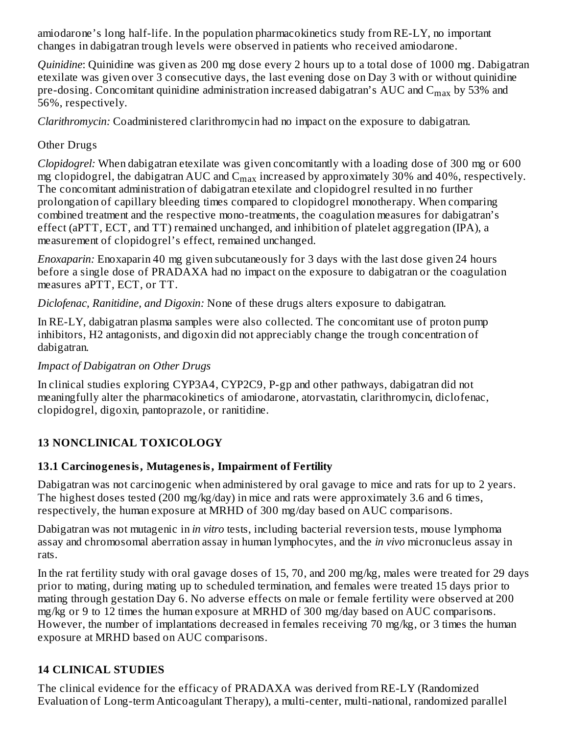amiodarone's long half-life. In the population pharmacokinetics study from RE-LY, no important changes in dabigatran trough levels were observed in patients who received amiodarone.

*Quinidine*: Quinidine was given as 200 mg dose every 2 hours up to a total dose of 1000 mg. Dabigatran etexilate was given over 3 consecutive days, the last evening dose on Day 3 with or without quinidine pre-dosing. Concomitant quinidine administration increased dabigatran's  $\rm AUC$  and  $\rm C_{max}$  by 53% and 56%, respectively.

*Clarithromycin:* Coadministered clarithromycin had no impact on the exposure to dabigatran.

## Other Drugs

*Clopidogrel:* When dabigatran etexilate was given concomitantly with a loading dose of 300 mg or 600 mg clopidogrel, the dabigatran AUC and  $\rm{C_{max}}$  increased by approximately 30% and 40%, respectively. The concomitant administration of dabigatran etexilate and clopidogrel resulted in no further prolongation of capillary bleeding times compared to clopidogrel monotherapy. When comparing combined treatment and the respective mono-treatments, the coagulation measures for dabigatran's effect (aPTT, ECT, and TT) remained unchanged, and inhibition of platelet aggregation (IPA), a measurement of clopidogrel's effect, remained unchanged.

*Enoxaparin:* Enoxaparin 40 mg given subcutaneously for 3 days with the last dose given 24 hours before a single dose of PRADAXA had no impact on the exposure to dabigatran or the coagulation measures aPTT, ECT, or TT.

*Diclofenac, Ranitidine, and Digoxin:* None of these drugs alters exposure to dabigatran.

In RE-LY, dabigatran plasma samples were also collected. The concomitant use of proton pump inhibitors, H2 antagonists, and digoxin did not appreciably change the trough concentration of dabigatran.

#### *Impact of Dabigatran on Other Drugs*

In clinical studies exploring CYP3A4, CYP2C9, P-gp and other pathways, dabigatran did not meaningfully alter the pharmacokinetics of amiodarone, atorvastatin, clarithromycin, diclofenac, clopidogrel, digoxin, pantoprazole, or ranitidine.

## **13 NONCLINICAL TOXICOLOGY**

### **13.1 Carcinogenesis, Mutagenesis, Impairment of Fertility**

Dabigatran was not carcinogenic when administered by oral gavage to mice and rats for up to 2 years. The highest doses tested (200 mg/kg/day) in mice and rats were approximately 3.6 and 6 times, respectively, the human exposure at MRHD of 300 mg/day based on AUC comparisons.

Dabigatran was not mutagenic in *in vitro* tests, including bacterial reversion tests, mouse lymphoma assay and chromosomal aberration assay in human lymphocytes, and the *in vivo* micronucleus assay in rats.

In the rat fertility study with oral gavage doses of 15, 70, and 200 mg/kg, males were treated for 29 days prior to mating, during mating up to scheduled termination, and females were treated 15 days prior to mating through gestation Day 6. No adverse effects on male or female fertility were observed at 200 mg/kg or 9 to 12 times the human exposure at MRHD of 300 mg/day based on AUC comparisons. However, the number of implantations decreased in females receiving 70 mg/kg, or 3 times the human exposure at MRHD based on AUC comparisons.

### **14 CLINICAL STUDIES**

The clinical evidence for the efficacy of PRADAXA was derived from RE-LY (Randomized Evaluation of Long-term Anticoagulant Therapy), a multi-center, multi-national, randomized parallel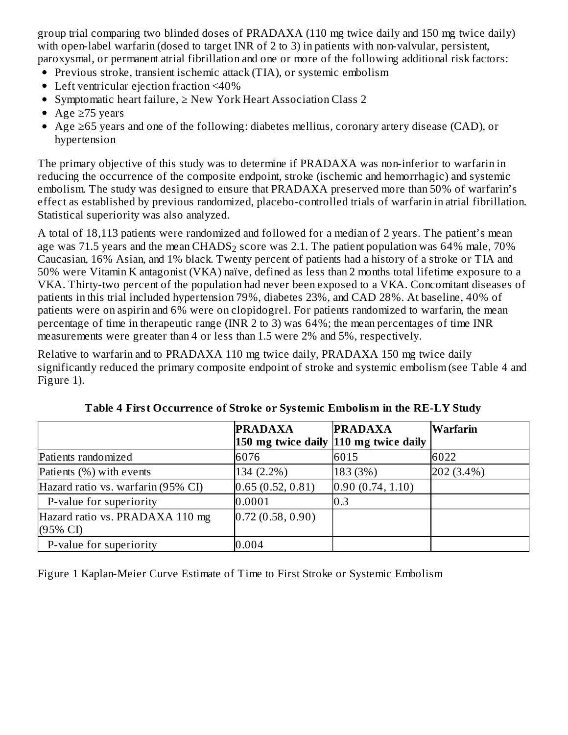group trial comparing two blinded doses of PRADAXA (110 mg twice daily and 150 mg twice daily) with open-label warfarin (dosed to target INR of 2 to 3) in patients with non-valvular, persistent, paroxysmal, or permanent atrial fibrillation and one or more of the following additional risk factors:

- Previous stroke, transient ischemic attack (TIA), or systemic embolism
- Left ventricular ejection fraction <40%
- Symptomatic heart failure, ≥ New York Heart Association Class 2
- Age  $\geq$ 75 years
- Age ≥65 years and one of the following: diabetes mellitus, coronary artery disease (CAD), or hypertension

The primary objective of this study was to determine if PRADAXA was non-inferior to warfarin in reducing the occurrence of the composite endpoint, stroke (ischemic and hemorrhagic) and systemic embolism. The study was designed to ensure that PRADAXA preserved more than 50% of warfarin's effect as established by previous randomized, placebo-controlled trials of warfarin in atrial fibrillation. Statistical superiority was also analyzed.

A total of 18,113 patients were randomized and followed for a median of 2 years. The patient's mean age was 71.5 years and the mean CHADS $_2$  score was 2.1. The patient population was 64% male, 70% Caucasian, 16% Asian, and 1% black. Twenty percent of patients had a history of a stroke or TIA and 50% were Vitamin K antagonist (VKA) naïve, defined as less than 2 months total lifetime exposure to a VKA. Thirty-two percent of the population had never been exposed to a VKA. Concomitant diseases of patients in this trial included hypertension 79%, diabetes 23%, and CAD 28%. At baseline, 40% of patients were on aspirin and 6% were on clopidogrel. For patients randomized to warfarin, the mean percentage of time in therapeutic range (INR 2 to 3) was 64%; the mean percentages of time INR measurements were greater than 4 or less than 1.5 were 2% and 5%, respectively.

Relative to warfarin and to PRADAXA 110 mg twice daily, PRADAXA 150 mg twice daily significantly reduced the primary composite endpoint of stroke and systemic embolism (see Table 4 and Figure 1).

|                                                        | <b>PRADAXA</b><br>150 mg twice daily 110 mg twice daily | <b>PRADAXA</b>   | Warfarin     |
|--------------------------------------------------------|---------------------------------------------------------|------------------|--------------|
| Patients randomized                                    | 6076                                                    | 6015             | 6022         |
| Patients (%) with events                               | 134 (2.2%)                                              | 183 (3%)         | $202(3.4\%)$ |
| Hazard ratio vs. warfarin (95% CI)                     | 0.65(0.52, 0.81)                                        | 0.90(0.74, 1.10) |              |
| P-value for superiority                                | 0.0001                                                  | 0.3              |              |
| Hazard ratio vs. PRADAXA 110 mg<br>$(95\% \text{ CI})$ | 0.72(0.58, 0.90)                                        |                  |              |
| P-value for superiority                                | 0.004                                                   |                  |              |

**Table 4 First Occurrence of Stroke or Systemic Embolism in the RE-LY Study**

Figure 1 Kaplan-Meier Curve Estimate of Time to First Stroke or Systemic Embolism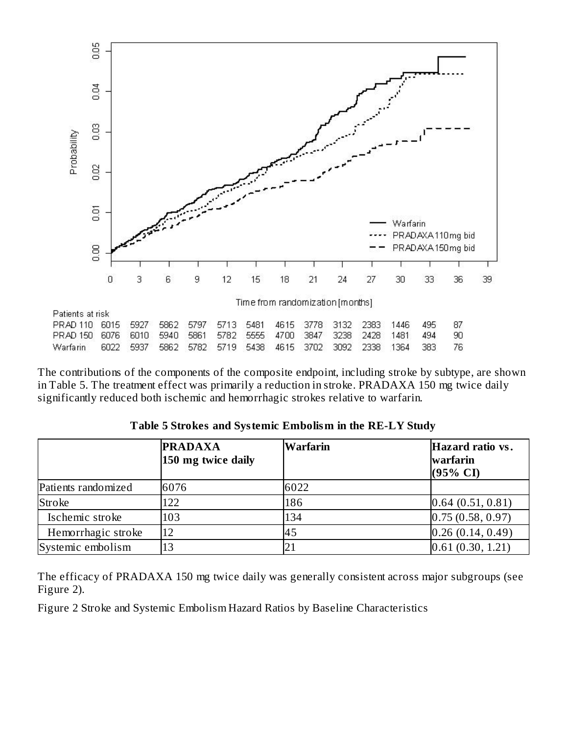

The contributions of the components of the composite endpoint, including stroke by subtype, are shown in Table 5. The treatment effect was primarily a reduction in stroke. PRADAXA 150 mg twice daily significantly reduced both ischemic and hemorrhagic strokes relative to warfarin.

|                     | <b>PRADAXA</b><br>150 mg twice daily | Warfarin | Hazard ratio vs.<br>warfarin<br>$(95\% \text{ CI})$ |
|---------------------|--------------------------------------|----------|-----------------------------------------------------|
| Patients randomized | 6076                                 | 6022     |                                                     |
| Stroke              | 122                                  | 186      | [0.64 (0.51, 0.81)]                                 |
| Ischemic stroke     | 103                                  | 134      | 0.75(0.58, 0.97)                                    |
| Hemorrhagic stroke  | 12                                   | 45       | 0.26(0.14, 0.49)                                    |
| Systemic embolism   | 13                                   |          | 0.61(0.30, 1.21)                                    |

**Table 5 Strokes and Systemic Embolism in the RE-LY Study**

The efficacy of PRADAXA 150 mg twice daily was generally consistent across major subgroups (see Figure 2).

Figure 2 Stroke and Systemic Embolism Hazard Ratios by Baseline Characteristics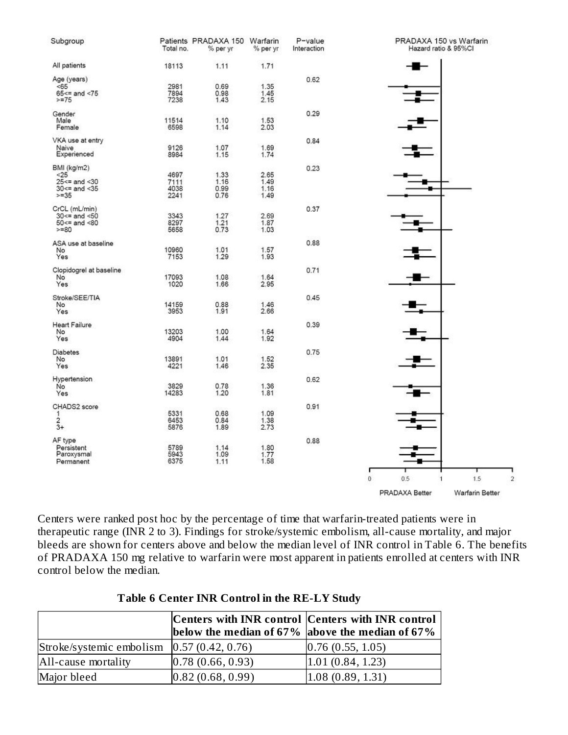

Centers were ranked post hoc by the percentage of time that warfarin-treated patients were in therapeutic range (INR 2 to 3). Findings for stroke/systemic embolism, all-cause mortality, and major bleeds are shown for centers above and below the median level of INR control in Table 6. The benefits of PRADAXA 150 mg relative to warfarin were most apparent in patients enrolled at centers with INR control below the median.

|                                                | Centers with INR control Centers with INR control<br>below the median of 67% above the median of 67% |                    |
|------------------------------------------------|------------------------------------------------------------------------------------------------------|--------------------|
| Stroke/systemic embolism $[0.57 (0.42, 0.76)]$ |                                                                                                      | [0.76(0.55, 1.05)] |
| All-cause mortality                            | [0.78(0.66, 0.93)]                                                                                   | 1.01(0.84, 1.23)   |
| Major bleed                                    | 0.82(0.68, 0.99)                                                                                     | 1.08(0.89, 1.31)   |

#### **Table 6 Center INR Control in the RE-LY Study**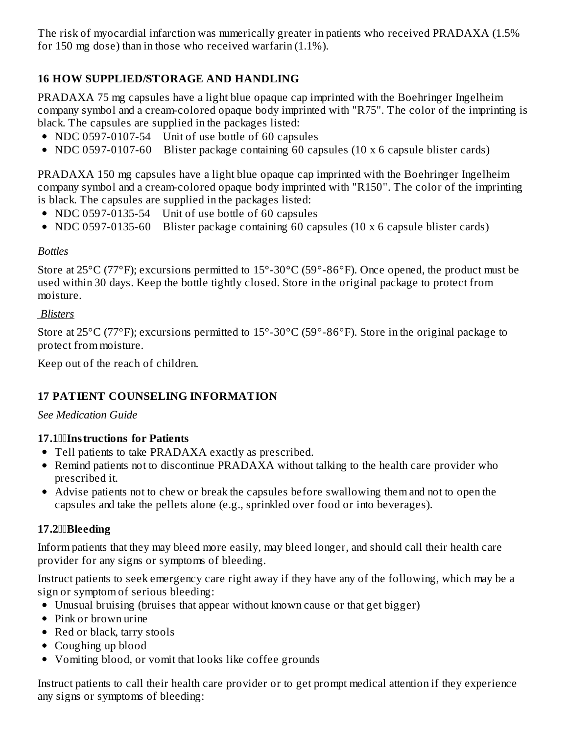The risk of myocardial infarction was numerically greater in patients who received PRADAXA (1.5% for 150 mg dose) than in those who received warfarin (1.1%).

## **16 HOW SUPPLIED/STORAGE AND HANDLING**

PRADAXA 75 mg capsules have a light blue opaque cap imprinted with the Boehringer Ingelheim company symbol and a cream-colored opaque body imprinted with "R75". The color of the imprinting is black. The capsules are supplied in the packages listed:

- NDC 0597-0107-54 Unit of use bottle of 60 capsules
- NDC 0597-0107-60 Blister package containing 60 capsules (10 x 6 capsule blister cards)

PRADAXA 150 mg capsules have a light blue opaque cap imprinted with the Boehringer Ingelheim company symbol and a cream-colored opaque body imprinted with "R150". The color of the imprinting is black. The capsules are supplied in the packages listed:

- NDC 0597-0135-54 Unit of use bottle of 60 capsules
- NDC 0597-0135-60 Blister package containing 60 capsules (10 x 6 capsule blister cards)

#### *Bottles*

Store at 25°C (77°F); excursions permitted to 15°-30°C (59°-86°F). Once opened, the product must be used within 30 days. Keep the bottle tightly closed. Store in the original package to protect from moisture.

#### *Blisters*

Store at 25°C (77°F); excursions permitted to 15°-30°C (59°-86°F). Store in the original package to protect from moisture.

Keep out of the reach of children.

#### **17 PATIENT COUNSELING INFORMATION**

*See Medication Guide*

#### **17.1Instructions for Patients**

- Tell patients to take PRADAXA exactly as prescribed.
- Remind patients not to discontinue PRADAXA without talking to the health care provider who prescribed it.
- Advise patients not to chew or break the capsules before swallowing them and not to open the capsules and take the pellets alone (e.g., sprinkled over food or into beverages).

#### **17.2Bleeding**

Inform patients that they may bleed more easily, may bleed longer, and should call their health care provider for any signs or symptoms of bleeding.

Instruct patients to seek emergency care right away if they have any of the following, which may be a sign or symptom of serious bleeding:

- Unusual bruising (bruises that appear without known cause or that get bigger)
- Pink or brown urine
- Red or black, tarry stools
- Coughing up blood
- Vomiting blood, or vomit that looks like coffee grounds

Instruct patients to call their health care provider or to get prompt medical attention if they experience any signs or symptoms of bleeding: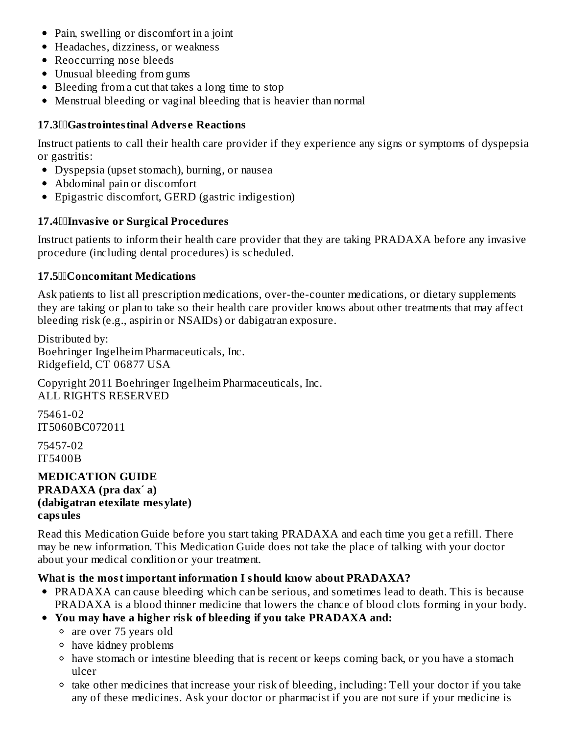- Pain, swelling or discomfort in a joint
- Headaches, dizziness, or weakness
- Reoccurring nose bleeds
- Unusual bleeding from gums
- Bleeding from a cut that takes a long time to stop
- Menstrual bleeding or vaginal bleeding that is heavier than normal

#### **17.3Gastrointestinal Advers e Reactions**

Instruct patients to call their health care provider if they experience any signs or symptoms of dyspepsia or gastritis:

- Dyspepsia (upset stomach), burning, or nausea
- Abdominal pain or discomfort
- Epigastric discomfort, GERD (gastric indigestion)

### **17.4Invasive or Surgical Procedures**

Instruct patients to inform their health care provider that they are taking PRADAXA before any invasive procedure (including dental procedures) is scheduled.

#### **17.5Concomitant Medications**

Ask patients to list all prescription medications, over-the-counter medications, or dietary supplements they are taking or plan to take so their health care provider knows about other treatments that may affect bleeding risk (e.g., aspirin or NSAIDs) or dabigatran exposure.

Distributed by: Boehringer Ingelheim Pharmaceuticals, Inc. Ridgefield, CT 06877 USA

Copyright 2011 Boehringer Ingelheim Pharmaceuticals, Inc. ALL RIGHTS RESERVED

75461-02 IT5060BC072011

75457-02 IT5400B

#### **MEDICATION GUIDE PRADAXA (pra dax´ a) (dabigatran etexilate mesylate) capsules**

Read this Medication Guide before you start taking PRADAXA and each time you get a refill. There may be new information. This Medication Guide does not take the place of talking with your doctor about your medical condition or your treatment.

### **What is the most important information I should know about PRADAXA?**

- PRADAXA can cause bleeding which can be serious, and sometimes lead to death. This is because PRADAXA is a blood thinner medicine that lowers the chance of blood clots forming in your body.
- **You may have a higher risk of bleeding if you take PRADAXA and:**
	- are over 75 years old
	- have kidney problems
	- have stomach or intestine bleeding that is recent or keeps coming back, or you have a stomach ulcer
	- take other medicines that increase your risk of bleeding, including: Tell your doctor if you take any of these medicines. Ask your doctor or pharmacist if you are not sure if your medicine is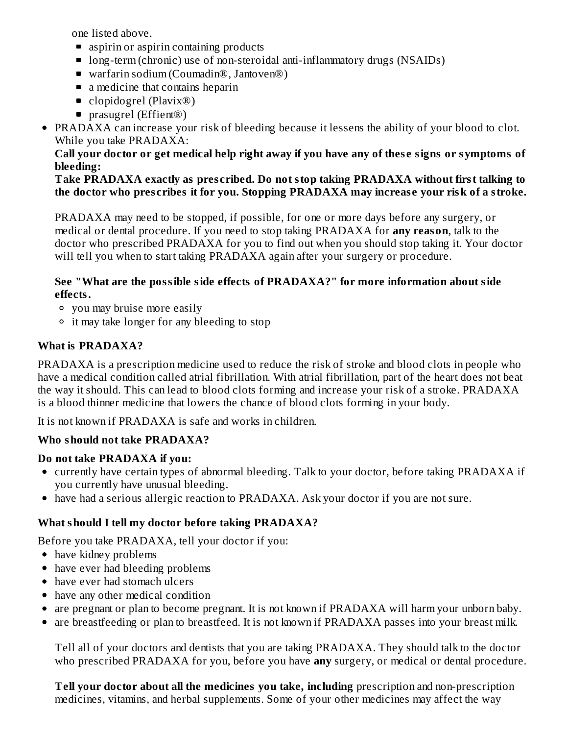one listed above.

- **aspiring aspiring 5** aspiring products
- long-term (chronic) use of non-steroidal anti-inflammatory drugs (NSAIDs)
- warfarin sodium (Coumadin®, Jantoven®)
- a medicine that contains heparin
- clopidogrel (Plavix<sup>®</sup>)
- prasugrel (Effient<sup>®</sup>)
- PRADAXA can increase your risk of bleeding because it lessens the ability of your blood to clot. While you take PRADAXA:

#### Call your doctor or get medical help right away if you have any of these signs or symptoms of **bleeding:**

#### **Take PRADAXA exactly as pres cribed. Do not stop taking PRADAXA without first talking to the doctor who pres cribes it for you. Stopping PRADAXA may increas e your risk of a stroke.**

PRADAXA may need to be stopped, if possible, for one or more days before any surgery, or medical or dental procedure. If you need to stop taking PRADAXA for **any reason**, talk to the doctor who prescribed PRADAXA for you to find out when you should stop taking it. Your doctor will tell you when to start taking PRADAXA again after your surgery or procedure.

#### **See "What are the possible side effects of PRADAXA?" for more information about side effects.**

- you may bruise more easily
- it may take longer for any bleeding to stop

### **What is PRADAXA?**

PRADAXA is a prescription medicine used to reduce the risk of stroke and blood clots in people who have a medical condition called atrial fibrillation. With atrial fibrillation, part of the heart does not beat the way it should. This can lead to blood clots forming and increase your risk of a stroke. PRADAXA is a blood thinner medicine that lowers the chance of blood clots forming in your body.

It is not known if PRADAXA is safe and works in children.

### **Who should not take PRADAXA?**

#### **Do not take PRADAXA if you:**

- currently have certain types of abnormal bleeding. Talk to your doctor, before taking PRADAXA if you currently have unusual bleeding.
- have had a serious allergic reaction to PRADAXA. Ask your doctor if you are not sure.

## **What should I tell my doctor before taking PRADAXA?**

Before you take PRADAXA, tell your doctor if you:

- have kidney problems
- have ever had bleeding problems
- have ever had stomach ulcers
- have any other medical condition
- are pregnant or plan to become pregnant. It is not known if PRADAXA will harm your unborn baby.
- are breastfeeding or plan to breastfeed. It is not known if PRADAXA passes into your breast milk.

Tell all of your doctors and dentists that you are taking PRADAXA. They should talk to the doctor who prescribed PRADAXA for you, before you have **any** surgery, or medical or dental procedure.

**Tell your doctor about all the medicines you take, including** prescription and non-prescription medicines, vitamins, and herbal supplements. Some of your other medicines may affect the way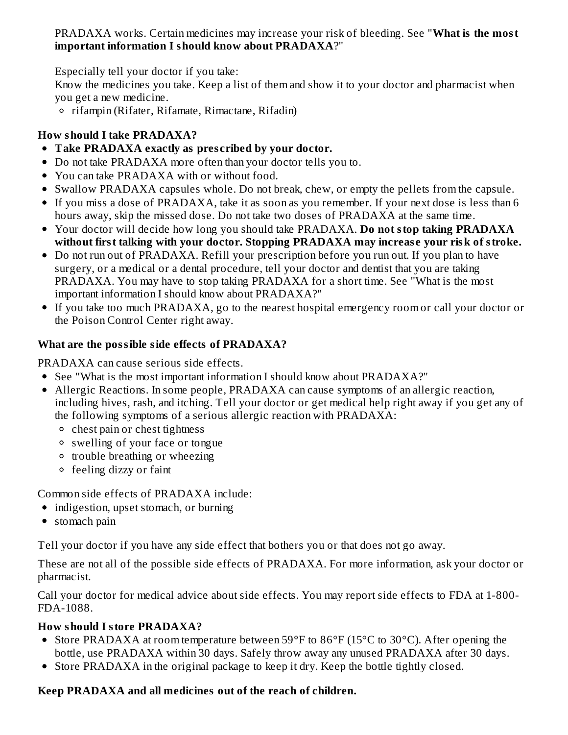PRADAXA works. Certain medicines may increase your risk of bleeding. See "**What is the most important information I should know about PRADAXA**?"

Especially tell your doctor if you take:

Know the medicines you take. Keep a list of them and show it to your doctor and pharmacist when you get a new medicine.

rifampin (Rifater, Rifamate, Rimactane, Rifadin)

## **How should I take PRADAXA?**

- **Take PRADAXA exactly as pres cribed by your doctor.**
- Do not take PRADAXA more often than your doctor tells you to.
- You can take PRADAXA with or without food.
- Swallow PRADAXA capsules whole. Do not break, chew, or empty the pellets from the capsule.
- If you miss a dose of PRADAXA, take it as soon as you remember. If your next dose is less than 6 hours away, skip the missed dose. Do not take two doses of PRADAXA at the same time.
- Your doctor will decide how long you should take PRADAXA. **Do not stop taking PRADAXA without first talking with your doctor. Stopping PRADAXA may increas e your risk of stroke.**
- Do not run out of PRADAXA. Refill your prescription before you run out. If you plan to have surgery, or a medical or a dental procedure, tell your doctor and dentist that you are taking PRADAXA. You may have to stop taking PRADAXA for a short time. See "What is the most important information I should know about PRADAXA?"
- If you take too much PRADAXA, go to the nearest hospital emergency room or call your doctor or the Poison Control Center right away.

## **What are the possible side effects of PRADAXA?**

PRADAXA can cause serious side effects.

- See "What is the most important information I should know about PRADAXA?"
- Allergic Reactions. In some people, PRADAXA can cause symptoms of an allergic reaction, including hives, rash, and itching. Tell your doctor or get medical help right away if you get any of the following symptoms of a serious allergic reaction with PRADAXA:
	- <sup>o</sup> chest pain or chest tightness
	- swelling of your face or tongue
	- <sup>o</sup> trouble breathing or wheezing
	- feeling dizzy or faint

Common side effects of PRADAXA include:

- indigestion, upset stomach, or burning
- stomach pain

Tell your doctor if you have any side effect that bothers you or that does not go away.

These are not all of the possible side effects of PRADAXA. For more information, ask your doctor or pharmacist.

Call your doctor for medical advice about side effects. You may report side effects to FDA at 1-800- FDA-1088.

### **How should I store PRADAXA?**

- Store PRADAXA at room temperature between 59°F to 86°F (15°C to 30°C). After opening the bottle, use PRADAXA within 30 days. Safely throw away any unused PRADAXA after 30 days.
- Store PRADAXA in the original package to keep it dry. Keep the bottle tightly closed.

### **Keep PRADAXA and all medicines out of the reach of children.**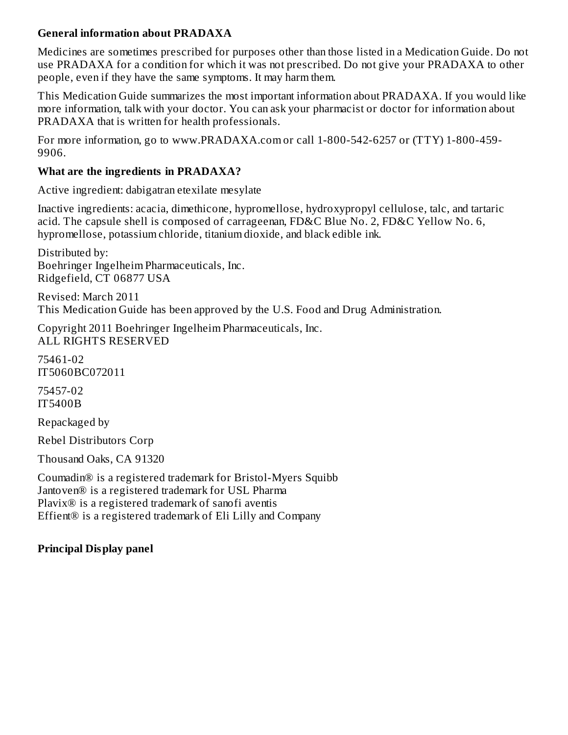#### **General information about PRADAXA**

Medicines are sometimes prescribed for purposes other than those listed in a Medication Guide. Do not use PRADAXA for a condition for which it was not prescribed. Do not give your PRADAXA to other people, even if they have the same symptoms. It may harm them.

This Medication Guide summarizes the most important information about PRADAXA. If you would like more information, talk with your doctor. You can ask your pharmacist or doctor for information about PRADAXA that is written for health professionals.

For more information, go to www.PRADAXA.com or call 1-800-542-6257 or (TTY) 1-800-459- 9906.

#### **What are the ingredients in PRADAXA?**

Active ingredient: dabigatran etexilate mesylate

Inactive ingredients: acacia, dimethicone, hypromellose, hydroxypropyl cellulose, talc, and tartaric acid. The capsule shell is composed of carrageenan, FD&C Blue No. 2, FD&C Yellow No. 6, hypromellose, potassium chloride, titanium dioxide, and black edible ink.

Distributed by: Boehringer Ingelheim Pharmaceuticals, Inc. Ridgefield, CT 06877 USA

Revised: March 2011 This Medication Guide has been approved by the U.S. Food and Drug Administration.

Copyright 2011 Boehringer Ingelheim Pharmaceuticals, Inc. ALL RIGHTS RESERVED

75461-02 IT5060BC072011

75457-02 IT5400B

Repackaged by

Rebel Distributors Corp

Thousand Oaks, CA 91320

Coumadin® is a registered trademark for Bristol-Myers Squibb Jantoven® is a registered trademark for USL Pharma Plavix® is a registered trademark of sanofi aventis Effient® is a registered trademark of Eli Lilly and Company

#### **Principal Display panel**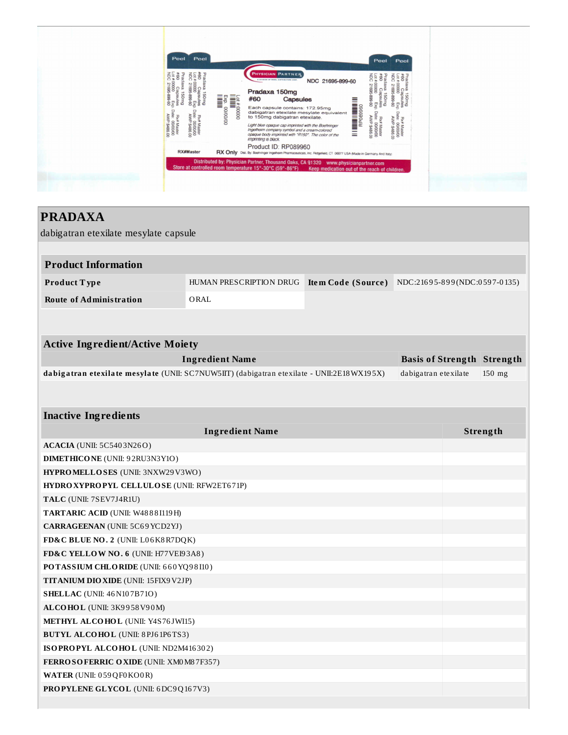

## **PRADAXA**

dabigatran etexilate mesylate capsule

| <b>Product Information</b> |                         |                    |                                |  |  |
|----------------------------|-------------------------|--------------------|--------------------------------|--|--|
| Product Type               | HUMAN PRESCRIPTION DRUG | Item Code (Source) | $NDC:21695-899(NDC:0597-0135)$ |  |  |
| Route of Administration    | ORAL                    |                    |                                |  |  |

| <b>Active Ingredient/Active Moiety</b>                                                    |                                   |          |  |  |  |
|-------------------------------------------------------------------------------------------|-----------------------------------|----------|--|--|--|
| Ingredient Name                                                                           | <b>Basis of Strength Strength</b> |          |  |  |  |
| dabigatran etexilate mesylate (UNII: SC7NUW5IIT) (dabigatran etexilate - UNII:2E18WX195X) | dabigatran etexilate              | $150$ mg |  |  |  |

#### **Inactive Ingredients**

| <b>Ingredient Name</b>                       | <b>Strength</b> |
|----------------------------------------------|-----------------|
| <b>ACACIA</b> (UNII: 5C5403N26O)             |                 |
| <b>DIMETHICONE</b> (UNII: 92RU3N3Y1O)        |                 |
| HYPROMELLOSES (UNII: 3NXW29V3WO)             |                 |
| HYDROXYPROPYL CELLULOSE (UNII: RFW2ET671P)   |                 |
| TALC (UNII: 7SEV7J4R1U)                      |                 |
| TARTARIC ACID (UNII: W48881119H)             |                 |
| <b>CARRAGEENAN</b> (UNII: 5C69 YCD2YJ)       |                 |
| FD&C BLUE NO. 2 (UNII: L06K8R7DQK)           |                 |
| FD&C YELLOW NO. 6 (UNII: H77VEI93A8)         |                 |
| POTASSIUM CHLORIDE (UNII: 660YQ98I10)        |                 |
| <b>TITANIUM DIO XIDE (UNII: 15FIX9 V2JP)</b> |                 |
| <b>SHELLAC</b> (UNII: 46 N107B71O)           |                 |
| ALCOHOL (UNII: 3K9958V90M)                   |                 |
| METHYL ALCOHOL (UNII: Y4S76JWI15)            |                 |
| <b>BUTYL ALCOHOL</b> (UNII: 8PJ61P6TS3)      |                 |
| ISOPROPYL ALCOHOL (UNII: ND2M416302)         |                 |
| FERROSOFERRIC OXIDE (UNII: XM0 M8 7F357)     |                 |
| WATER (UNII: 059 QF0 KO0 R)                  |                 |
| <b>PROPYLENE GLYCOL</b> (UNII: 6DC9Q167V3)   |                 |
|                                              |                 |